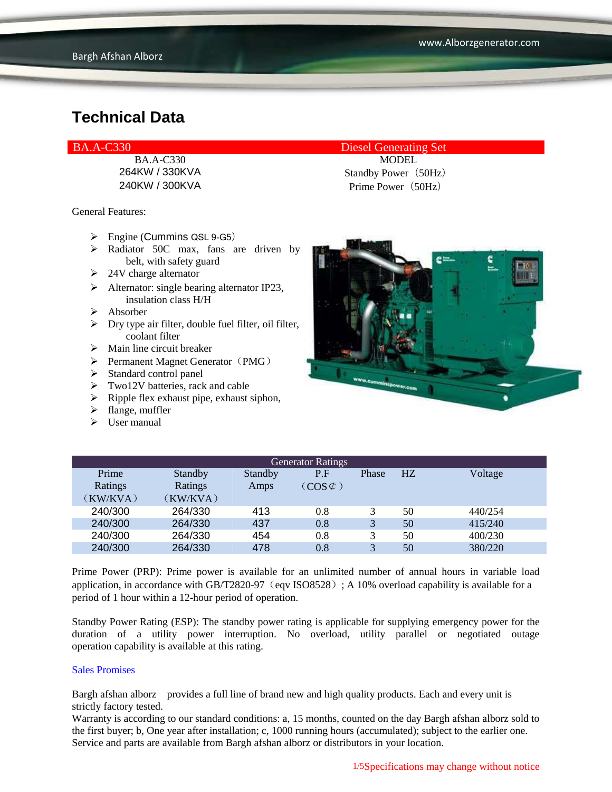General Features:

- Engine (Cummins QSL 9-G5)
- $\triangleright$  Radiator 50C max, fans are driven by belt, with safety guard
- $\geq 24V$  charge alternator
- $\triangleright$  Alternator: single bearing alternator IP23, insulation class H/H
- Absorber
- $\triangleright$  Dry type air filter, double fuel filter, oil filter, coolant filter
- $\triangleright$  Main line circuit breaker
- $\triangleright$  Permanent Magnet Generator (PMG)
- $\triangleright$  Standard control panel
- $\triangleright$  Two12V batteries, rack and cable
- $\triangleright$  Ripple flex exhaust pipe, exhaust siphon,
- $\blacktriangleright$  flange, muffler
- $\triangleright$  User manual

BA.A-C330 Diesel Generating Set

BA.A-C330 MODEL 264KW / 330KVA Standby Power (50Hz) 240KW / 300KVA Prime Power (50Hz)



| <b>Generator Ratings</b> |          |         |                     |       |    |         |
|--------------------------|----------|---------|---------------------|-------|----|---------|
| Prime                    | Standby  | Standby | P.F                 | Phase | HZ | Voltage |
| Ratings                  | Ratings  | Amps    | $(COS \mathcal{C})$ |       |    |         |
| (KW/KVA)                 | (KW/KVA) |         |                     |       |    |         |
| 240/300                  | 264/330  | 413     | 0.8                 |       | 50 | 440/254 |
| 240/300                  | 264/330  | 437     | 0.8                 | 3     | 50 | 415/240 |
| 240/300                  | 264/330  | 454     | 0.8                 | 3     | 50 | 400/230 |
| 240/300                  | 264/330  | 478     | 0.8                 | 3     | 50 | 380/220 |

Prime Power (PRP): Prime power is available for an unlimited number of annual hours in variable load application, in accordance with GB/T2820-97 (eqv ISO8528); A 10% overload capability is available for a period of 1 hour within a 12-hour period of operation.

Standby Power Rating (ESP): The standby power rating is applicable for supplying emergency power for the duration of a utility power interruption. No overload, utility parallel or negotiated outage operation capability is available at this rating.

#### Sales Promises

Bargh afshan alborz provides a full line of brand new and high quality products. Each and every unit is strictly factory tested.

Warranty is according to our standard conditions: a, 15 months, counted on the day Bargh afshan alborz sold to the first buyer; b, One year after installation; c, 1000 running hours (accumulated); subject to the earlier one. Service and parts are available from Bargh afshan alborz or distributors in your location.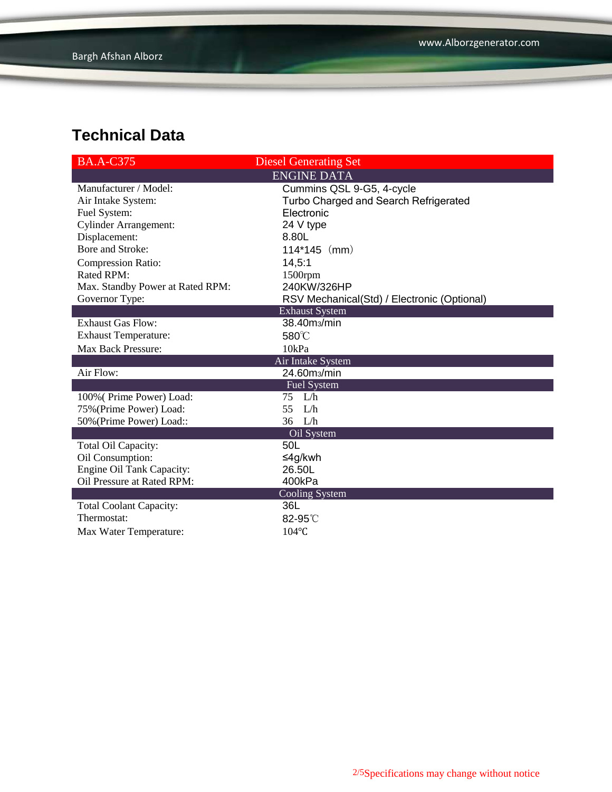| <b>BA.A-C375</b>                 | <b>Diesel Generating Set</b>                |  |  |  |
|----------------------------------|---------------------------------------------|--|--|--|
| <b>ENGINE DATA</b>               |                                             |  |  |  |
| Manufacturer / Model:            | Cummins QSL 9-G5, 4-cycle                   |  |  |  |
| Air Intake System:               | Turbo Charged and Search Refrigerated       |  |  |  |
| Fuel System:                     | Electronic                                  |  |  |  |
| <b>Cylinder Arrangement:</b>     | 24 V type                                   |  |  |  |
| Displacement:                    | 8.80L                                       |  |  |  |
| Bore and Stroke:                 | $114*145$ (mm)                              |  |  |  |
| <b>Compression Ratio:</b>        | 14,5:1                                      |  |  |  |
| <b>Rated RPM:</b>                | $1500$ rpm                                  |  |  |  |
| Max. Standby Power at Rated RPM: | 240KW/326HP                                 |  |  |  |
| Governor Type:                   | RSV Mechanical(Std) / Electronic (Optional) |  |  |  |
|                                  | <b>Exhaust System</b>                       |  |  |  |
| <b>Exhaust Gas Flow:</b>         | 38.40m <sub>3</sub> /min                    |  |  |  |
| <b>Exhaust Temperature:</b>      | 580°C                                       |  |  |  |
| Max Back Pressure:               | 10kPa                                       |  |  |  |
|                                  | Air Intake System                           |  |  |  |
| Air Flow:                        | 24.60m <sub>3</sub> /min                    |  |  |  |
|                                  | <b>Fuel System</b>                          |  |  |  |
| 100% (Prime Power) Load:         | $75$ L/h                                    |  |  |  |
| 75% (Prime Power) Load:          | L/h<br>55                                   |  |  |  |
| 50% (Prime Power) Load::         | 36<br>L/h                                   |  |  |  |
|                                  | Oil System                                  |  |  |  |
| Total Oil Capacity:              | 50L                                         |  |  |  |
| Oil Consumption:                 | ≤4g/kwh                                     |  |  |  |
| Engine Oil Tank Capacity:        | 26.50L                                      |  |  |  |
| Oil Pressure at Rated RPM:       | 400kPa                                      |  |  |  |
| <b>Cooling System</b>            |                                             |  |  |  |
| <b>Total Coolant Capacity:</b>   | 36L                                         |  |  |  |
| Thermostat:                      | $82-95^\circ$                               |  |  |  |
| Max Water Temperature:           | $104$ °C                                    |  |  |  |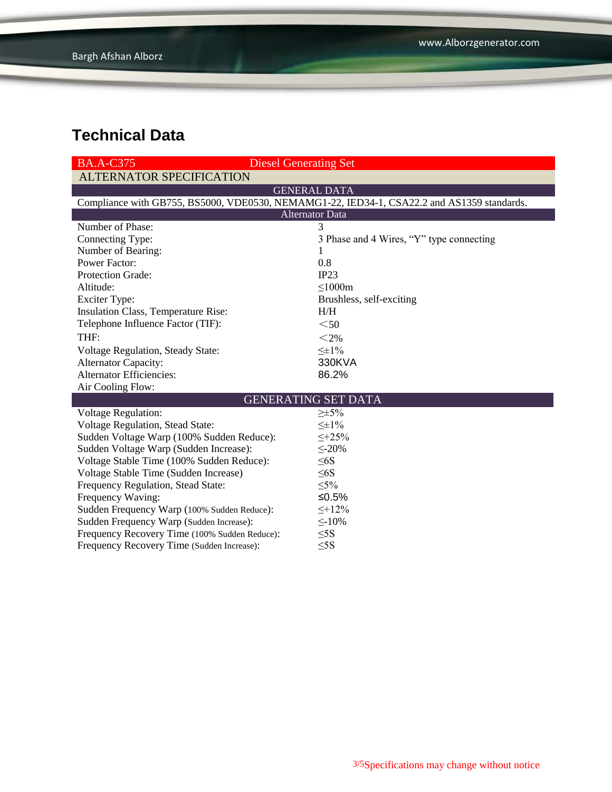| <b>BA.A-C375</b>                                                                           | <b>Diesel Generating Set</b>             |  |  |  |  |
|--------------------------------------------------------------------------------------------|------------------------------------------|--|--|--|--|
| <b>ALTERNATOR SPECIFICATION</b>                                                            |                                          |  |  |  |  |
| <b>GENERAL DATA</b>                                                                        |                                          |  |  |  |  |
| Compliance with GB755, BS5000, VDE0530, NEMAMG1-22, IED34-1, CSA22.2 and AS1359 standards. |                                          |  |  |  |  |
| <b>Alternator Data</b>                                                                     |                                          |  |  |  |  |
| Number of Phase:                                                                           | 3                                        |  |  |  |  |
| Connecting Type:                                                                           | 3 Phase and 4 Wires, "Y" type connecting |  |  |  |  |
| Number of Bearing:                                                                         | 1                                        |  |  |  |  |
| <b>Power Factor:</b>                                                                       | 0.8                                      |  |  |  |  |
| Protection Grade:                                                                          | IP23                                     |  |  |  |  |
| Altitude:                                                                                  | $\leq$ 1000m                             |  |  |  |  |
| <b>Exciter Type:</b>                                                                       | Brushless, self-exciting                 |  |  |  |  |
| Insulation Class, Temperature Rise:                                                        | H/H                                      |  |  |  |  |
| Telephone Influence Factor (TIF):                                                          | $50$                                     |  |  |  |  |
| THF:                                                                                       | $<$ 2%                                   |  |  |  |  |
| Voltage Regulation, Steady State:                                                          | $\leq \pm 1\%$                           |  |  |  |  |
| <b>Alternator Capacity:</b>                                                                | 330KVA                                   |  |  |  |  |
| <b>Alternator Efficiencies:</b>                                                            | 86.2%                                    |  |  |  |  |
| Air Cooling Flow:                                                                          |                                          |  |  |  |  |
| <b>GENERATING SET DATA</b>                                                                 |                                          |  |  |  |  |
| <b>Voltage Regulation:</b>                                                                 | $\geq \pm 5\%$                           |  |  |  |  |
| Voltage Regulation, Stead State:                                                           | $\leq \pm 1\%$                           |  |  |  |  |
| Sudden Voltage Warp (100% Sudden Reduce):                                                  | $\leq +25\%$                             |  |  |  |  |
| Sudden Voltage Warp (Sudden Increase):                                                     | $\leq$ -20%                              |  |  |  |  |
| Voltage Stable Time (100% Sudden Reduce):                                                  | $\leq 6S$                                |  |  |  |  |
| Voltage Stable Time (Sudden Increase)                                                      | $\leq 6S$                                |  |  |  |  |
| Frequency Regulation, Stead State:                                                         | $\leq 5\%$                               |  |  |  |  |
| Frequency Waving:                                                                          | ≤ $0.5%$                                 |  |  |  |  |
| Sudden Frequency Warp (100% Sudden Reduce):                                                | $\leq +12\%$                             |  |  |  |  |
| Sudden Frequency Warp (Sudden Increase):                                                   | $\leq$ -10%                              |  |  |  |  |
| Frequency Recovery Time (100% Sudden Reduce):                                              | $\leq$ 5S                                |  |  |  |  |
| Frequency Recovery Time (Sudden Increase):                                                 | $<$ 5S                                   |  |  |  |  |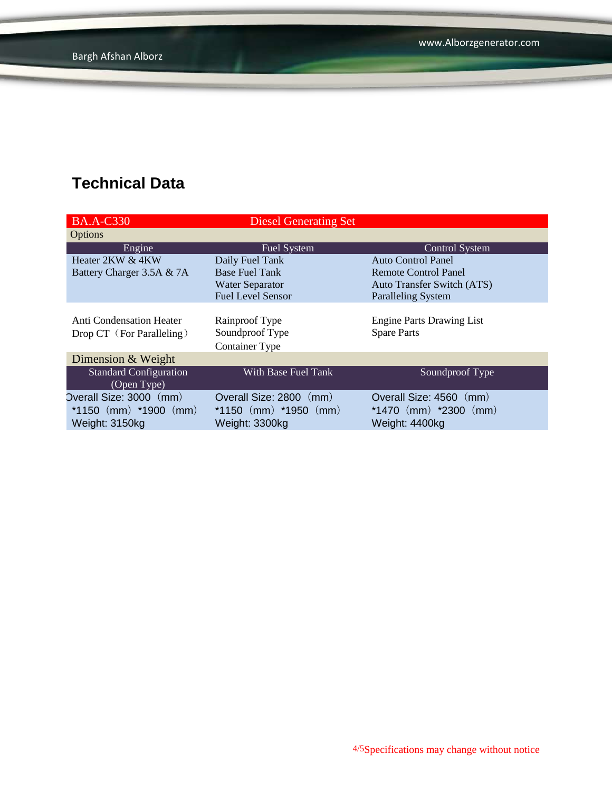| <b>BA.A-C330</b>              | <b>Diesel Generating Set</b> |                                   |
|-------------------------------|------------------------------|-----------------------------------|
| Options                       |                              |                                   |
| Engine                        | <b>Fuel System</b>           | <b>Control System</b>             |
| Heater 2KW & 4KW              | Daily Fuel Tank              | Auto Control Panel                |
| Battery Charger 3.5A & 7A     | <b>Base Fuel Tank</b>        | Remote Control Panel              |
|                               | <b>Water Separator</b>       | <b>Auto Transfer Switch (ATS)</b> |
|                               | <b>Fuel Level Sensor</b>     | <b>Paralleling System</b>         |
|                               |                              |                                   |
| Anti Condensation Heater      | Rainproof Type               | <b>Engine Parts Drawing List</b>  |
| Drop CT (For Paralleling)     | Soundproof Type              | <b>Spare Parts</b>                |
|                               | <b>Container Type</b>        |                                   |
| Dimension & Weight            |                              |                                   |
| <b>Standard Configuration</b> | With Base Fuel Tank          | Soundproof Type                   |
| (Open Type)                   |                              |                                   |
| Overall Size: 3000 (mm)       | Overall Size: 2800 (mm)      | Overall Size: 4560 (mm)           |
| *1150 $(mm)$ *1900 $(mm)$     | $*1150$ (mm) $*1950$ (mm)    | *1470 $(mm)$ *2300 $(mm)$         |
| Weight: 3150kg                | Weight: 3300kg               | Weight: 4400kg                    |
|                               |                              |                                   |